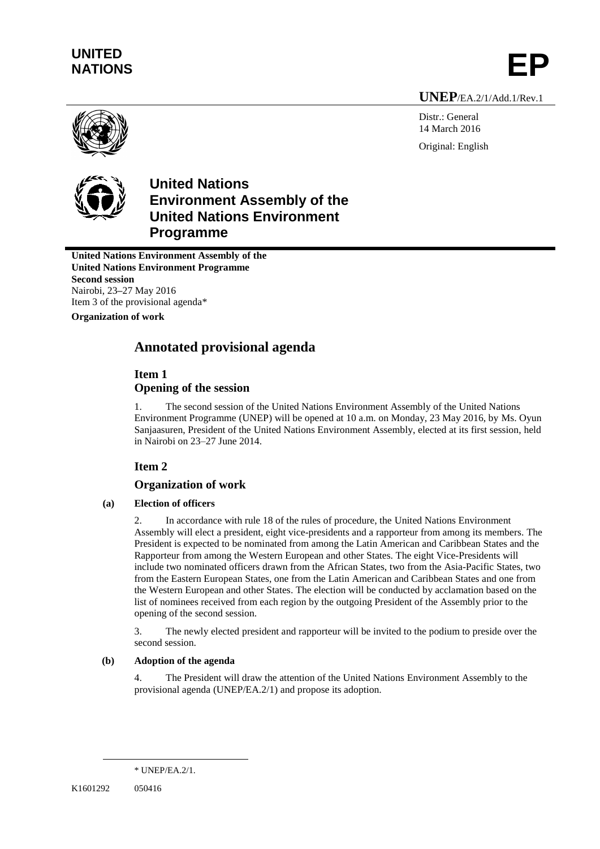# **UNITED** UNITED<br>NATIONS **EP**

**UNEP**/EA.2/1/Add.1/Rev.1

Distr.: General 14 March 2016 Original: English





# **United Nations Environment Assembly of the United Nations Environment Programme**

**United Nations Environment Assembly of the United Nations Environment Programme Second session** Nairobi, 23**–**27 May 2016 Item 3 of the provisional agenda\*

**Organization of work**

# **Annotated provisional agenda**

# **Item 1**

# **Opening of the session**

1. The second session of the United Nations Environment Assembly of the United Nations Environment Programme (UNEP) will be opened at 10 a.m. on Monday, 23 May 2016, by Ms. Oyun Sanjaasuren, President of the United Nations Environment Assembly, elected at its first session, held in Nairobi on 23–27 June 2014.

# **Item 2**

# **Organization of work**

# **(a) Election of officers**

2. In accordance with rule 18 of the rules of procedure, the United Nations Environment Assembly will elect a president, eight vice-presidents and a rapporteur from among its members. The President is expected to be nominated from among the Latin American and Caribbean States and the Rapporteur from among the Western European and other States. The eight Vice-Presidents will include two nominated officers drawn from the African States, two from the Asia-Pacific States, two from the Eastern European States, one from the Latin American and Caribbean States and one from the Western European and other States. The election will be conducted by acclamation based on the list of nominees received from each region by the outgoing President of the Assembly prior to the opening of the second session.

3. The newly elected president and rapporteur will be invited to the podium to preside over the second session.

# **(b) Adoption of the agenda**

4. The President will draw the attention of the United Nations Environment Assembly to the provisional agenda (UNEP/EA.2/1) and propose its adoption.

 $\overline{a}$ 

<sup>\*</sup> UNEP/EA.2/1.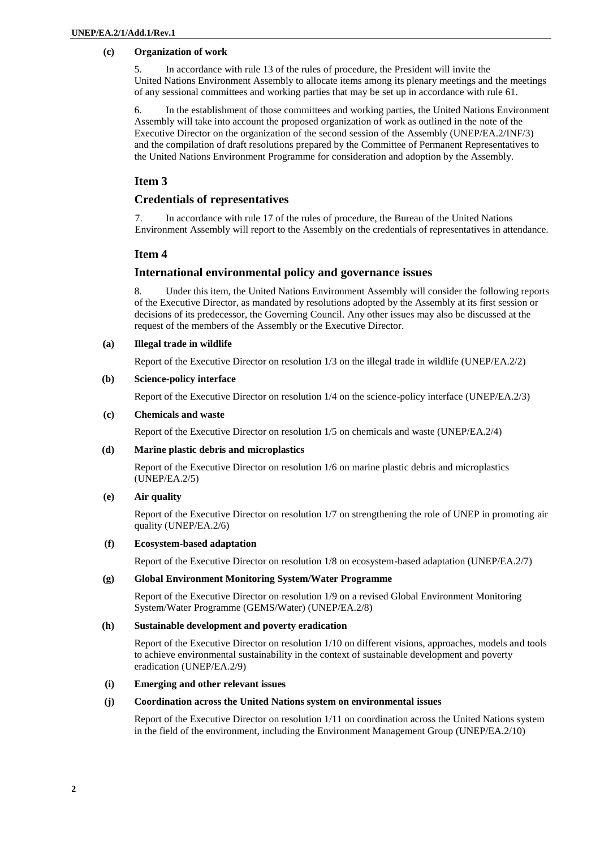#### **(c) Organization of work**

5. In accordance with rule 13 of the rules of procedure, the President will invite the United Nations Environment Assembly to allocate items among its plenary meetings and the meetings of any sessional committees and working parties that may be set up in accordance with rule 61.

6. In the establishment of those committees and working parties, the United Nations Environment Assembly will take into account the proposed organization of work as outlined in the note of the Executive Director on the organization of the second session of the Assembly (UNEP/EA.2/INF/3) and the compilation of draft resolutions prepared by the Committee of Permanent Representatives to the United Nations Environment Programme for consideration and adoption by the Assembly.

# **Item 3**

# **Credentials of representatives**

7. In accordance with rule 17 of the rules of procedure, the Bureau of the United Nations Environment Assembly will report to the Assembly on the credentials of representatives in attendance.

### **Item 4**

#### **International environmental policy and governance issues**

8. Under this item, the United Nations Environment Assembly will consider the following reports of the Executive Director, as mandated by resolutions adopted by the Assembly at its first session or decisions of its predecessor, the Governing Council. Any other issues may also be discussed at the request of the members of the Assembly or the Executive Director.

#### **(a) Illegal trade in wildlife**

Report of the Executive Director on resolution 1/3 on the illegal trade in wildlife (UNEP/EA.2/2)

#### **(b) Science-policy interface**

Report of the Executive Director on resolution 1/4 on the science-policy interface (UNEP/EA.2/3)

#### **(c) Chemicals and waste**

Report of the Executive Director on resolution 1/5 on chemicals and waste (UNEP/EA.2/4)

#### **(d) Marine plastic debris and microplastics**

Report of the Executive Director on resolution 1/6 on marine plastic debris and microplastics (UNEP/EA.2/5)

#### **(e) Air quality**

Report of the Executive Director on resolution 1/7 on strengthening the role of UNEP in promoting air quality (UNEP/EA.2/6)

#### **(f) Ecosystem-based adaptation**

Report of the Executive Director on resolution 1/8 on ecosystem-based adaptation (UNEP/EA.2/7)

#### **(g) Global Environment Monitoring System/Water Programme**

Report of the Executive Director on resolution 1/9 on a revised Global Environment Monitoring System/Water Programme (GEMS/Water) (UNEP/EA.2/8)

#### **(h) Sustainable development and poverty eradication**

Report of the Executive Director on resolution 1/10 on different visions, approaches, models and tools to achieve environmental sustainability in the context of sustainable development and poverty eradication (UNEP/EA.2/9)

#### **(i) Emerging and other relevant issues**

#### **(j) Coordination across the United Nations system on environmental issues**

Report of the Executive Director on resolution 1/11 on coordination across the United Nations system in the field of the environment, including the Environment Management Group (UNEP/EA.2/10)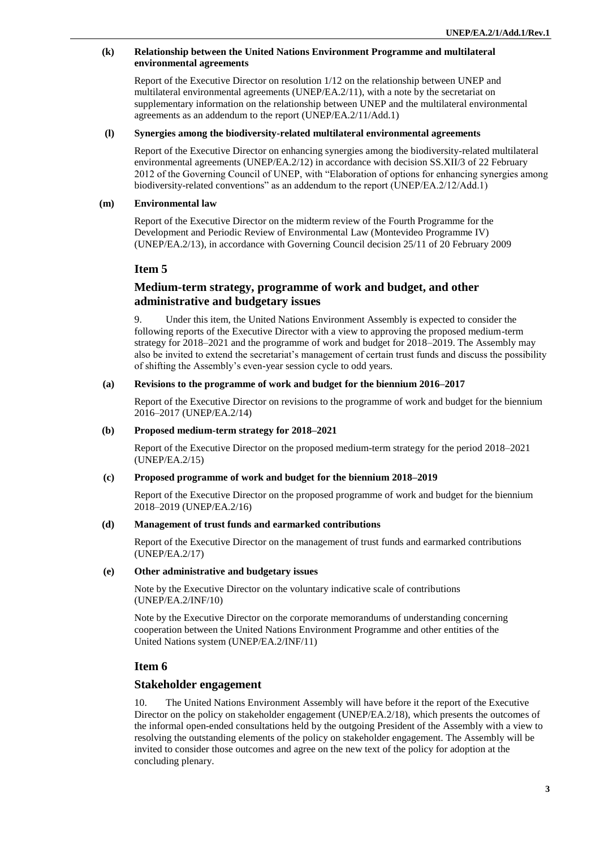#### **(k) Relationship between the United Nations Environment Programme and multilateral environmental agreements**

Report of the Executive Director on resolution 1/12 on the relationship between UNEP and multilateral environmental agreements (UNEP/EA.2/11), with a note by the secretariat on supplementary information on the relationship between UNEP and the multilateral environmental agreements as an addendum to the report (UNEP/EA.2/11/Add.1)

#### **(l) Synergies among the biodiversity-related multilateral environmental agreements**

Report of the Executive Director on enhancing synergies among the biodiversity-related multilateral environmental agreements (UNEP/EA.2/12) in accordance with decision SS.XII/3 of 22 February 2012 of the Governing Council of UNEP, with "Elaboration of options for enhancing synergies among biodiversity-related conventions" as an addendum to the report (UNEP/EA.2/12/Add.1)

#### **(m) Environmental law**

Report of the Executive Director on the midterm review of the Fourth Programme for the Development and Periodic Review of Environmental Law (Montevideo Programme IV) (UNEP/EA.2/13), in accordance with Governing Council decision 25/11 of 20 February 2009

# **Item 5**

# **Medium-term strategy, programme of work and budget, and other administrative and budgetary issues**

9. Under this item, the United Nations Environment Assembly is expected to consider the following reports of the Executive Director with a view to approving the proposed medium-term strategy for 2018–2021 and the programme of work and budget for 2018–2019. The Assembly may also be invited to extend the secretariat's management of certain trust funds and discuss the possibility of shifting the Assembly's even-year session cycle to odd years.

#### **(a) Revisions to the programme of work and budget for the biennium 2016–2017**

Report of the Executive Director on revisions to the programme of work and budget for the biennium 2016–2017 (UNEP/EA.2/14)

#### **(b) Proposed medium-term strategy for 2018–2021**

Report of the Executive Director on the proposed medium-term strategy for the period 2018–2021 (UNEP/EA.2/15)

#### **(c) Proposed programme of work and budget for the biennium 2018–2019**

Report of the Executive Director on the proposed programme of work and budget for the biennium 2018–2019 (UNEP/EA.2/16)

#### **(d) Management of trust funds and earmarked contributions**

Report of the Executive Director on the management of trust funds and earmarked contributions (UNEP/EA.2/17)

#### **(e) Other administrative and budgetary issues**

Note by the Executive Director on the voluntary indicative scale of contributions (UNEP/EA.2/INF/10)

Note by the Executive Director on the corporate memorandums of understanding concerning cooperation between the United Nations Environment Programme and other entities of the United Nations system (UNEP/EA.2/INF/11)

# **Item 6**

#### **Stakeholder engagement**

10. The United Nations Environment Assembly will have before it the report of the Executive Director on the policy on stakeholder engagement (UNEP/EA.2/18), which presents the outcomes of the informal open-ended consultations held by the outgoing President of the Assembly with a view to resolving the outstanding elements of the policy on stakeholder engagement. The Assembly will be invited to consider those outcomes and agree on the new text of the policy for adoption at the concluding plenary.